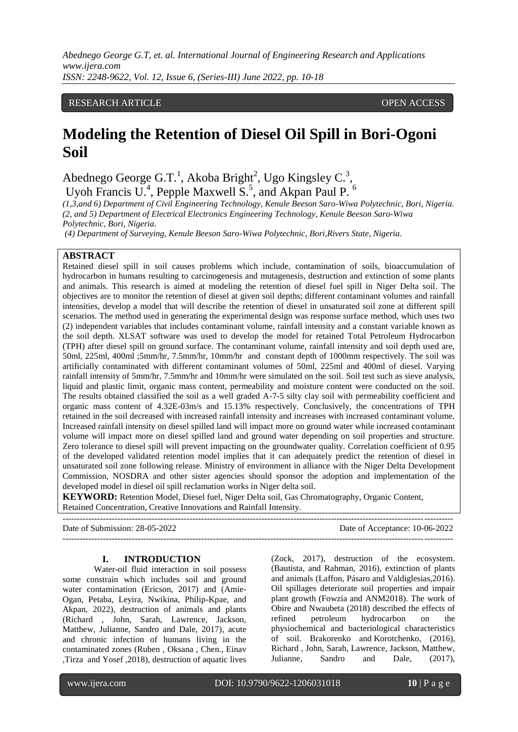## RESEARCH ARTICLE **CONSERVERS** OPEN ACCESS

# **Modeling the Retention of Diesel Oil Spill in Bori-Ogoni Soil**

Abednego George G.T.<sup>1</sup>, Akoba Bright<sup>2</sup>, Ugo Kingsley C.<sup>3</sup>,

Uyoh Francis U.<sup>4</sup>, Pepple Maxwell S.<sup>5</sup>, and Akpan Paul P.<sup>6</sup>

*(1,3,and 6) Department of Civil Engineering Technology, Kenule Beeson Saro-Wiwa Polytechnic, Bori, Nigeria. (2, and 5) Department of Electrical Electronics Engineering Technology, Kenule Beeson Saro-Wiwa Polytechnic, Bori, Nigeria.*

*(4) Department of Surveying, Kenule Beeson Saro-Wiwa Polytechnic, Bori,Rivers State, Nigeria.*

## **ABSTRACT**

Retained diesel spill in soil causes problems which include, contamination of soils, bioaccumulation of hydrocarbon in humans resulting to carcinogenesis and mutagenesis, destruction and extinction of some plants and animals. This research is aimed at modeling the retention of diesel fuel spill in Niger Delta soil. The objectives are to monitor the retention of diesel at given soil depths; different contaminant volumes and rainfall intensities, develop a model that will describe the retention of diesel in unsaturated soil zone at different spill scenarios. The method used in generating the experimental design was response surface method, which uses two (2) independent variables that includes contaminant volume, rainfall intensity and a constant variable known as the soil depth. XLSAT software was used to develop the model for retained Total Petroleum Hydrocarbon (TPH) after diesel spill on ground surface. The contaminant volume, rainfall intensity and soil depth used are, 50ml, 225ml, 400ml ;5mm/hr, 7.5mm/hr, 10mm/hr and constant depth of 1000mm respectively. The soil was artificially contaminated with different contaminant volumes of 50ml, 225ml and 400ml of diesel. Varying rainfall intensity of 5mm/hr, 7.5mm/hr and 10mm/hr were simulated on the soil. Soil test such as sieve analysis, liquid and plastic limit, organic mass content, permeability and moisture content were conducted on the soil. The results obtained classified the soil as a well graded A-7-5 silty clay soil with permeability coefficient and organic mass content of 4.32E-03m/s and 15.13% respectively. Conclusively, the concentrations of TPH retained in the soil decreased with increased rainfall intensity and increases with increased contaminant volume. Increased rainfall intensity on diesel spilled land will impact more on ground water while increased contaminant volume will impact more on diesel spilled land and ground water depending on soil properties and structure. Zero tolerance to diesel spill will prevent impacting on the groundwater quality. Correlation coefficient of 0.95 of the developed validated retention model implies that it can adequately predict the retention of diesel in unsaturated soil zone following release. Ministry of environment in alliance with the Niger Delta Development Commission, NOSDRA and other sister agencies should sponsor the adoption and implementation of the developed model in diesel oil spill reclamation works in Niger delta soil.

**KEYWORD:** Retention Model, Diesel fuel, Niger Delta soil, Gas Chromatography, Organic Content, Retained Concentration, Creative Innovations and Rainfall Intensity. ---------------------------------------------------------------------------------------------------------------------------------------

Date of Submission: 28-05-2022 Date of Acceptance: 10-06-2022  $-1\leq i\leq n-1\leq n-1\leq n-1\leq n-1\leq n-1\leq n-1\leq n-1\leq n-1\leq n-1\leq n-1\leq n-1\leq n-1\leq n-1\leq n-1\leq n-1\leq n-1\leq n-1\leq n-1\leq n-1\leq n-1\leq n-1\leq n-1\leq n-1\leq n-1\leq n-1\leq n-1\leq n-1\leq n-1\leq n-1\leq n-1\leq n-1\leq n-1\leq n-1\leq n-1\leq n-1\leq n$ 

#### **I. INTRODUCTION**

Water-oil fluid interaction in soil possess some constrain which includes soil and ground water contamination (Ericson, 2017) and (Amie-Ogan, Petaba, Leyira, Nwikina, Philip-Kpae, and Akpan, 2022), destruction of animals and plants (Richard , John, Sarah, Lawrence, Jackson, Matthew, Julianne, Sandro and Dale, 2017), acute and chronic infection of humans living in the contaminated zones [\(Ruben ,](https://www.tandfonline.com/author/Girsowicz%2C+Ruben) [Oksana ,](https://www.tandfonline.com/author/Koryachenko%2C+Oksana) [Chen.,](https://www.tandfonline.com/author/Sherman%2C+Chen) [Einav](https://www.tandfonline.com/author/Mayzlish-Gati%2C+Einav)  [,Tirza](https://www.tandfonline.com/author/Doniger%2C+Tirza) an[d Yosef ,](https://www.tandfonline.com/author/Steinberger%2C+Yosef)2018), destruction of aquatic lives

(Zock, 2017), destruction of the ecosystem. (Bautista, and Rahman, 2016), extinction of plants and animals (Laffon, Pásaro and Valdiglesias,2016). Oil spillages deteriorate soil properties and impair plant growth (Fowzia and ANM2018). The work of Obire and Nwaubeta (2018) described the effects of refined petroleum hydrocarbon on the physiochemical and bacteriological characteristics of soil. Brakorenko and Korotchenko, (2016), Richard , John, Sarah, Lawrence, Jackson, Matthew, Julianne, Sandro and Dale, (2017),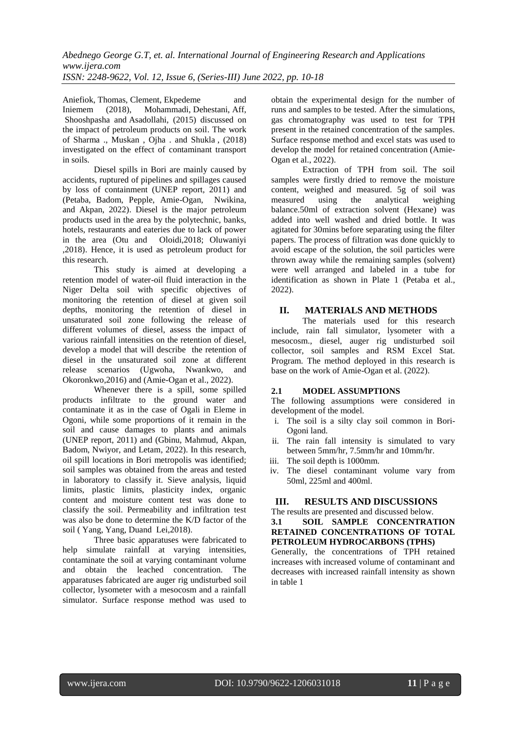Aniefiok, Thomas, Clement, Ekpedeme and Iniemem (2018), [Mohammadi,](https://ascelibrary.org/author/Mohammadi%2C+A) [Dehestani,](https://ascelibrary.org/author/Dehestani%2C+M) Aff, [Shooshpasha](https://ascelibrary.org/author/Shooshpasha%2C+I) and [Asadollahi,](https://ascelibrary.org/author/Asadollahi%2C+S) (2015) discussed on the impact of petroleum products on soil. The work of Sharma ., Muskan , Ojha . and Shukla , (2018) investigated on the effect of contaminant transport in soils.

Diesel spills in Bori are mainly caused by accidents, ruptured of pipelines and spillages caused by loss of containment (UNEP report, 2011) and (Petaba, Badom, Pepple, Amie-Ogan, Nwikina, and Akpan, 2022). Diesel is the major petroleum products used in the area by the polytechnic, banks, hotels, restaurants and eateries due to lack of power in the area (Otu and Oloidi,2018; Oluwaniyi ,2018). Hence, it is used as petroleum product for this research.

This study is aimed at developing a retention model of water-oil fluid interaction in the Niger Delta soil with specific objectives of monitoring the retention of diesel at given soil depths, monitoring the retention of diesel in unsaturated soil zone following the release of different volumes of diesel, assess the impact of various rainfall intensities on the retention of diesel, develop a model that will describe the retention of diesel in the unsaturated soil zone at different release scenarios (Ugwoha, Nwankwo, and Okoronkwo,2016) and (Amie-Ogan et al., 2022).

Whenever there is a spill, some spilled products infiltrate to the ground water and contaminate it as in the case of Ogali in Eleme in Ogoni, while some proportions of it remain in the soil and cause damages to plants and animals (UNEP report, 2011) and (Gbinu, Mahmud, Akpan, Badom, Nwiyor, and Letam, 2022). In this research, oil spill locations in Bori metropolis was identified; soil samples was obtained from the areas and tested in laboratory to classify it. Sieve analysis, liquid limits, plastic limits, plasticity index, organic content and moisture content test was done to classify the soil. Permeability and infiltration test was also be done to determine the K/D factor of the soil ( [Yang,](https://www.researchgate.net/scientific-contributions/2087860346_M_Yang) [Yang,](https://www.researchgate.net/profile/Yuesuo_Yang) [Dua](https://www.researchgate.net/profile/Xinqiang_Du)nd [Lei,](https://www.researchgate.net/scientific-contributions/2068225539_Y_Lei)2018).

Three basic apparatuses were fabricated to help simulate rainfall at varying intensities, contaminate the soil at varying contaminant volume and obtain the leached concentration. The apparatuses fabricated are auger rig undisturbed soil collector, lysometer with a mesocosm and a rainfall simulator. Surface response method was used to obtain the experimental design for the number of runs and samples to be tested. After the simulations, gas chromatography was used to test for TPH present in the retained concentration of the samples. Surface response method and excel stats was used to develop the model for retained concentration (Amie-Ogan et al., 2022).

Extraction of TPH from soil. The soil samples were firstly dried to remove the moisture content, weighed and measured. 5g of soil was measured using the analytical weighing balance.50ml of extraction solvent (Hexane) was added into well washed and dried bottle. It was agitated for 30mins before separating using the filter papers. The process of filtration was done quickly to avoid escape of the solution, the soil particles were thrown away while the remaining samples (solvent) were well arranged and labeled in a tube for identification as shown in Plate 1 (Petaba et al., 2022).

## **II. MATERIALS AND METHODS**

The materials used for this research include, rain fall simulator, lysometer with a mesocosm., diesel, auger rig undisturbed soil collector, soil samples and RSM Excel Stat. Program. The method deployed in this research is base on the work of Amie-Ogan et al. (2022).

## **2.1 MODEL ASSUMPTIONS**

The following assumptions were considered in development of the model.

- i. The soil is a silty clay soil common in Bori-Ogoni land.
- ii. The rain fall intensity is simulated to vary between 5mm/hr, 7.5mm/hr and 10mm/hr.
- iii. The soil depth is 1000mm.
- iv. The diesel contaminant volume vary from 50ml, 225ml and 400ml.

## **III. RESULTS AND DISCUSSIONS**

The results are presented and discussed below.

**3.1 SOIL SAMPLE CONCENTRATION RETAINED CONCENTRATIONS OF TOTAL PETROLEUM HYDROCARBONS (TPHS)**

Generally, the concentrations of TPH retained increases with increased volume of contaminant and decreases with increased rainfall intensity as shown in table 1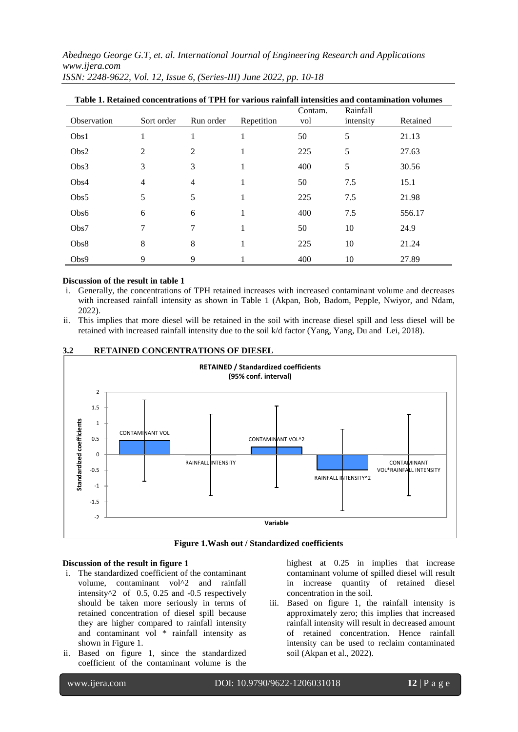*Abednego George G.T, et. al. International Journal of Engineering Research and Applications www.ijera.com*

| Table 1. Retained concentrations of TPH for various rainfall intensities and contamination volumes |                |           |            |                |                       |          |
|----------------------------------------------------------------------------------------------------|----------------|-----------|------------|----------------|-----------------------|----------|
| Observation                                                                                        | Sort order     | Run order | Repetition | Contam.<br>vol | Rainfall<br>intensity | Retained |
| Obs1                                                                                               |                | 1         | 1          | 50             | 5                     | 21.13    |
| Obs2                                                                                               | 2              | 2         | 1          | 225            | 5                     | 27.63    |
| Obs3                                                                                               | 3              | 3         | 1          | 400            | 5                     | 30.56    |
| Obs4                                                                                               | $\overline{4}$ | 4         | 1          | 50             | 7.5                   | 15.1     |
| Obs5                                                                                               | 5              | 5         | 1          | 225            | 7.5                   | 21.98    |
| Obs6                                                                                               | 6              | 6         | 1          | 400            | 7.5                   | 556.17   |
| Obs7                                                                                               | 7              | 7         | 1          | 50             | 10                    | 24.9     |
| Obs8                                                                                               | 8              | 8         | 1          | 225            | 10                    | 21.24    |
| Obs9                                                                                               | 9              | 9         |            | 400            | 10                    | 27.89    |

*ISSN: 2248-9622, Vol. 12, Issue 6, (Series-III) June 2022, pp. 10-18*

### **Discussion of the result in table 1**

i. Generally, the concentrations of TPH retained increases with increased contaminant volume and decreases with increased rainfall intensity as shown in Table 1 (Akpan, Bob, Badom, Pepple, Nwiyor, and Ndam, 2022).

ii. This implies that more diesel will be retained in the soil with increase diesel spill and less diesel will be retained with increased rainfall intensity due to the soil k/d factor [\(Yang,](https://www.researchgate.net/scientific-contributions/2087860346_M_Yang) [Yang,](https://www.researchgate.net/profile/Yuesuo_Yang) [Du](https://www.researchgate.net/profile/Xinqiang_Du) an[d Lei,](https://www.researchgate.net/scientific-contributions/2068225539_Y_Lei) 2018).



## **3.2 RETAINED CONCENTRATIONS OF DIESEL**



#### **Discussion of the result in figure 1**

- i. The standardized coefficient of the contaminant volume, contaminant vol^2 and rainfall intensity $\textdegree{2}$  of 0.5, 0.25 and -0.5 respectively should be taken more seriously in terms of retained concentration of diesel spill because they are higher compared to rainfall intensity and contaminant vol \* rainfall intensity as shown in Figure 1.
- ii. Based on figure 1, since the standardized coefficient of the contaminant volume is the

highest at  $0.25$  in implies that increase contaminant volume of spilled diesel will result in increase quantity of retained diesel concentration in the soil.

iii. Based on figure 1, the rainfall intensity is approximately zero; this implies that increased rainfall intensity will result in decreased amount of retained concentration. Hence rainfall intensity can be used to reclaim contaminated soil (Akpan et al., 2022).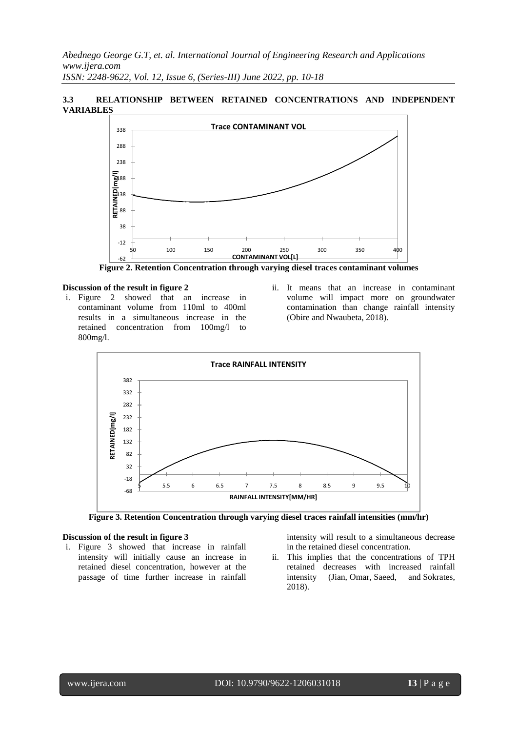## **3.3 RELATIONSHIP BETWEEN RETAINED CONCENTRATIONS AND INDEPENDENT VARIABLES**



**Figure 2. Retention Concentration through varying diesel traces contaminant volumes**

#### **Discussion of the result in figure 2**

- i. Figure 2 showed that an increase in contaminant volume from 110ml to 400ml results in a simultaneous increase in the retained concentration from 100mg/l to 800mg/l.
- ii. It means that an increase in contaminant volume will impact more on groundwater contamination than change rainfall intensity (Obire and Nwaubeta, 2018).





#### **Discussion of the result in figure 3**

i. Figure 3 showed that increase in rainfall intensity will initially cause an increase in retained diesel concentration, however at the passage of time further increase in rainfall intensity will result to a simultaneous decrease in the retained diesel concentration.

ii. This implies that the concentrations of TPH retained decreases with increased rainfall intensity (Jian, Omar, Saeed, and Sokrates, 2018).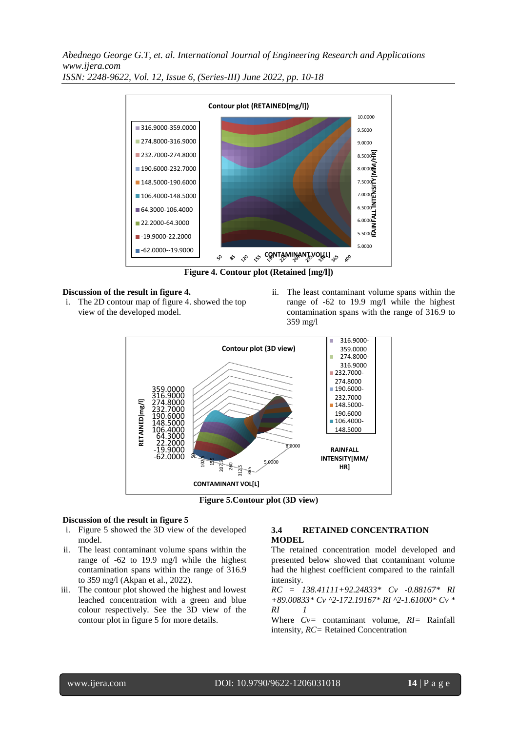*Abednego George G.T, et. al. International Journal of Engineering Research and Applications www.ijera.com*



*ISSN: 2248-9622, Vol. 12, Issue 6, (Series-III) June 2022, pp. 10-18*

**Figure 4. Contour plot (Retained [mg/l])**

#### **Discussion of the result in figure 4.**

- i. The 2D contour map of figure 4. showed the top view of the developed model.
- ii. The least contaminant volume spans within the range of -62 to 19.9 mg/l while the highest contamination spans with the range of 316.9 to 359 mg/l



**Figure 5.Contour plot (3D view)**

#### **Discussion of the result in figure 5**

- i. Figure 5 showed the 3D view of the developed model.
- ii. The least contaminant volume spans within the range of -62 to 19.9 mg/l while the highest contamination spans within the range of 316.9 to 359 mg/l (Akpan et al., 2022).
- iii. The contour plot showed the highest and lowest leached concentration with a green and blue colour respectively. See the 3D view of the contour plot in figure 5 for more details.

## **3.4 RETAINED CONCENTRATION MODEL**

The retained concentration model developed and presented below showed that contaminant volume had the highest coefficient compared to the rainfall intensity.

*RC = 138.41111+92.24833\* Cv -0.88167\* RI +89.00833\* Cv ^2-172.19167\* RI ^2-1.61000\* Cv \* RI 1*

Where *Cv=* contaminant volume, *RI=* Rainfall intensity, *RC=* Retained Concentration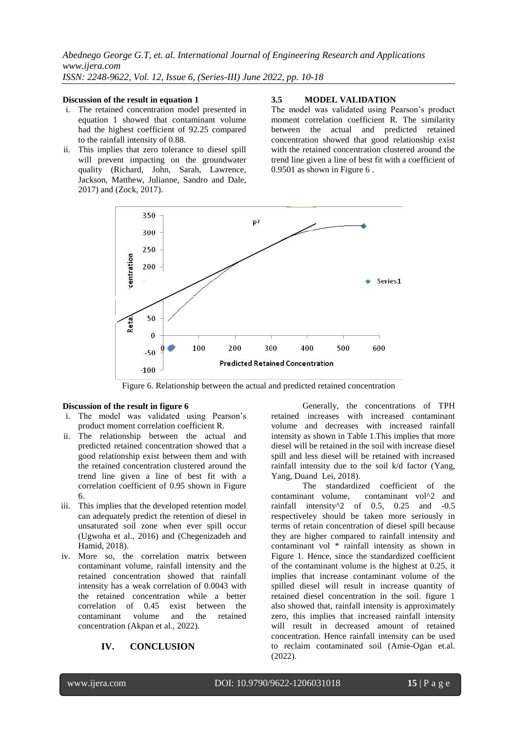#### **Discussion of the result in equation 1**

- i. The retained concentration model presented in equation 1 showed that contaminant volume had the highest coefficient of 92.25 compared to the rainfall intensity of 0.88.
- ii. This implies that zero tolerance to diesel spill will prevent impacting on the groundwater quality (Richard, John, Sarah, Lawrence, Jackson, Matthew, Julianne, Sandro and Dale, 2017) and (Zock, 2017).

#### **3.5 MODEL VALIDATION**

The model was validated using Pearson's product moment correlation coefficient R. The similarity between the actual and predicted retained concentration showed that good relationship exist with the retained concentration clustered around the trend line given a line of best fit with a coefficient of 0.9501 as shown in Figure 6 .



Figure 6. Relationship between the actual and predicted retained concentration

#### **Discussion of the result in figure 6**

- i. The model was validated using Pearson's product moment correlation coefficient R.
- ii. The relationship between the actual and predicted retained concentration showed that a good relationship exist between them and with the retained concentration clustered around the trend line given a line of best fit with a correlation coefficient of 0.95 shown in Figure 6.
- iii. This implies that the developed retention model can adequately predict the retention of diesel in unsaturated soil zone when ever spill occur (Ugwoha et al., 2016) and (Chegenizadeh and Hamid, 2018).
- iv. More so, the correlation matrix between contaminant volume, rainfall intensity and the retained concentration showed that rainfall intensity has a weak correlation of 0.0043 with the retained concentration while a better correlation of 0.45 exist between the contaminant volume and the retained concentration (Akpan et al., 2022).

## **IV. CONCLUSION**

Generally, the concentrations of TPH retained increases with increased contaminant volume and decreases with increased rainfall intensity as shown in Table 1.This implies that more diesel will be retained in the soil with increase diesel spill and less diesel will be retained with increased rainfall intensity due to the soil k/d factor [\(Yang,](https://www.researchgate.net/scientific-contributions/2087860346_M_Yang) [Yang,](https://www.researchgate.net/profile/Yuesuo_Yang) [Dua](https://www.researchgate.net/profile/Xinqiang_Du)nd [Lei,](https://www.researchgate.net/scientific-contributions/2068225539_Y_Lei) 2018).

The standardized coefficient of the contaminant volume, contaminant vol^2 and rainfall intensity^2 of 0.5, 0.25 and -0.5 respectiveley should be taken more seriously in terms of retain concentration of diesel spill because they are higher compared to rainfall intensity and contaminant vol \* rainfall intensity as shown in Figure 1. Hence, since the standardized coefficient of the contaminant volume is the highest at 0.25, it implies that increase contaminant volume of the spilled diesel will result in increase quantity of retained diesel concentration in the soil. figure 1 also showed that, rainfall intensity is approximately zero, this implies that increased rainfall intensity will result in decreased amount of retained concentration. Hence rainfall intensity can be used to reclaim contaminated soil (Amie-Ogan et.al. (2022).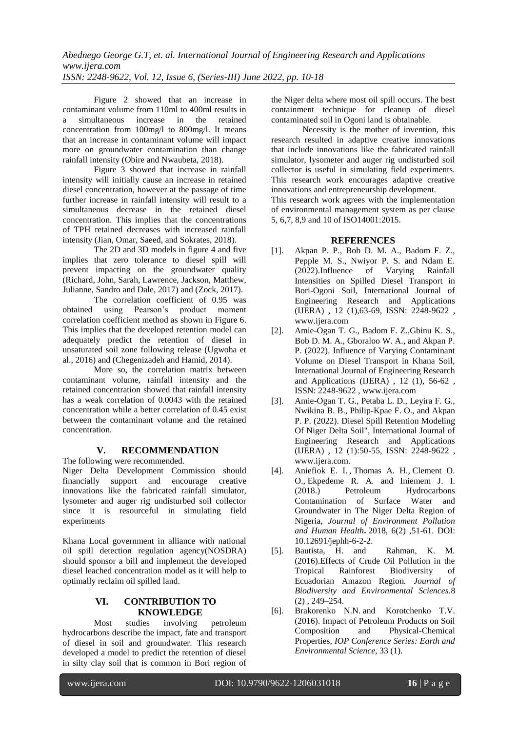Figure 2 showed that an increase in contaminant volume from 110ml to 400ml results in a simultaneous increase in the retained concentration from 100mg/l to 800mg/l. It means that an increase in contaminant volume will impact more on groundwater contamination than change rainfall intensity (Obire and Nwaubeta, 2018).

Figure 3 showed that increase in rainfall intensity will initially cause an increase in retained diesel concentration, however at the passage of time further increase in rainfall intensity will result to a simultaneous decrease in the retained diesel concentration. This implies that the concentrations of TPH retained decreases with increased rainfall intensity (Jian, Omar, Saeed, and Sokrates, 2018).

The 2D and 3D models in figure 4 and five implies that zero tolerance to diesel spill will prevent impacting on the groundwater quality (Richard, John, Sarah, Lawrence, Jackson, Matthew, Julianne, Sandro and Dale, 2017) and (Zock, 2017).

The correlation coefficient of 0.95 was obtained using Pearson's product moment correlation coefficient method as shown in Figure 6. This implies that the developed retention model can adequately predict the retention of diesel in unsaturated soil zone following release (Ugwoha et al., 2016) and (Chegenizadeh and Hamid, 2014).

More so, the correlation matrix between contaminant volume, rainfall intensity and the retained concentration showed that rainfall intensity has a weak correlation of 0.0043 with the retained concentration while a better correlation of 0.45 exist between the contaminant volume and the retained concentration.

## **V. RECOMMENDATION**

The following were recommended.

Niger Delta Development Commission should financially support and encourage creative innovations like the fabricated rainfall simulator, lysometer and auger rig undisturbed soil collector since it is resourceful in simulating field experiments

Khana Local government in alliance with national oil spill detection regulation agency(NOSDRA) should sponsor a bill and implement the developed diesel leached concentration model as it will help to optimally reclaim oil spilled land.

## **VI. CONTRIBUTION TO KNOWLEDGE**

Most studies involving petroleum hydrocarbons describe the impact, fate and transport of diesel in soil and groundwater. This research developed a model to predict the retention of diesel in silty clay soil that is common in Bori region of

the Niger delta where most oil spill occurs. The best containment technique for cleanup of diesel contaminated soil in Ogoni land is obtainable.

Necessity is the mother of invention, this research resulted in adaptive creative innovations that include innovations like the fabricated rainfall simulator, lysometer and auger rig undisturbed soil collector is useful in simulating field experiments. This research work encourages adaptive creative innovations and entrepreneurship development.

This research work agrees with the implementation of environmental management system as per clause 5, 6,7, 8,9 and 10 of ISO14001:2015.

## **REFERENCES**

- [1]. Akpan P. P., Bob D. M. A., Badom F. Z., Pepple M. S., Nwiyor P. S. and Ndam E. (2022).Influence of Varying Rainfall Intensities on Spilled Diesel Transport in Bori-Ogoni Soil, International Journal of Engineering Research and Applications (IJERA) , 12 (1),63-69, ISSN: 2248-9622 , www.ijera.com
- [2]. Amie-Ogan T. G., Badom F. Z.,Gbinu K. S., Bob D. M. A., Gboraloo W. A., and Akpan P. P. (2022). Influence of Varying Contaminant Volume on Diesel Transport in Khana Soil, International Journal of Engineering Research and Applications (IJERA) , 12 (1), 56-62 , ISSN: 2248-9622 [, www.ijera.com](http://www.ijera.com/)
- [3]. Amie-Ogan T. G., Petaba L. D., Leyira F. G., Nwikina B. B., Philip-Kpae F. O., and Akpan P. P. (2022). Diesel Spill Retention Modeling Of Niger Delta Soil", International Journal of Engineering Research and Applications (IJERA) , 12 (1):50-55, ISSN: 2248-9622 , www.ijera.com.
- [4]. Aniefiok E. I. [,](http://pubs.sciepub.com/jephh/6/2/2/#Cor) Thomas A. H., Clement O. O., Ekpedeme R. A. and Iniemem J. I. (2018.) Petroleum Hydrocarbons Contamination of Surface Water and Groundwater in The Niger Delta Region of Nigeria, *Journal of Environment Pollution and Human Health***.** 2018, 6(2) ,51-61. DOI: 10.12691/jephh-6-2-2.
- [5]. Bautista, H. and Rahman, K. M. (2016).Effects of Crude Oil Pollution in the Tropical Rainforest Biodiversity of Ecuadorian Amazon Region*. Journal of Biodiversity and Environmental Sciences.*8 (2) , 249–254.
- [6]. Brakorenko N.N. and Korotchenko T.V. (2016). Impact of Petroleum Products on Soil Composition and Physical-Chemical Properties, *[IOP Conference Series: Earth and](http://iopscience.iop.org/journal/1755-1315)  [Environmental Science](http://iopscience.iop.org/journal/1755-1315)*, [33](http://iopscience.iop.org/volume/1755-1315/33) (1).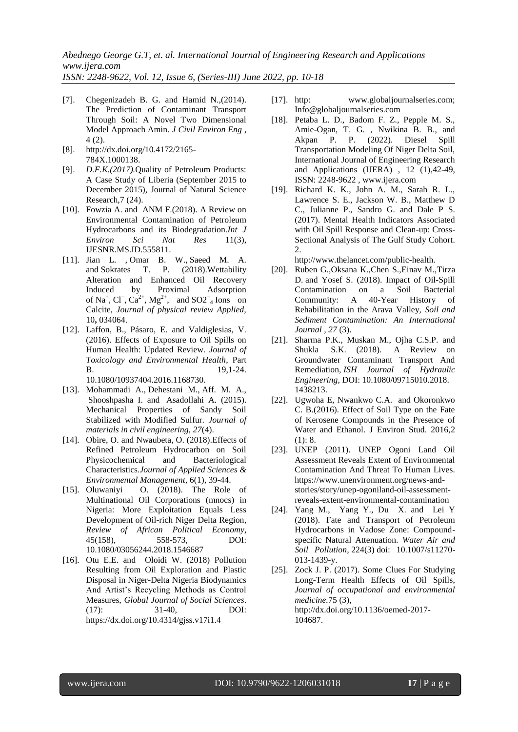*ISSN: 2248-9622, Vol. 12, Issue 6, (Series-III) June 2022, pp. 10-18*

- [7]. Chegenizadeh B. G. and Hamid N.,(2014). The Prediction of Contaminant Transport Through Soil: A Novel Two Dimensional Model Approach Amin. *J Civil Environ Eng* , 4 (2).
- [8]. [http://dx.doi.org/10.4172/2165-](http://dx.doi.org/10.4172/2165-784X.1000138)
- [784X.1000138.](http://dx.doi.org/10.4172/2165-784X.1000138) [9]. *D.F.K.(2017).*Quality of Petroleum Products:
- A Case Study of Liberia (September 2015 to December 2015), Journal of Natural Science Research,7 (24).
- [10]. Fowzia A. and ANM F.(2018). A Review on Environmental Contamination of Petroleum Hydrocarbons and its Biodegradation.*Int J Environ Sci Nat Res* 11(3), IJESNR.MS.ID.555811.
- [11]. Jian L. , Omar B. W., Saeed M. A. and Sokrates T. P. (2018).Wettability Alteration and Enhanced Oil Recovery Induced by Proximal Adsorption of Na<sup>+</sup>, Cl<sup>−</sup>, Ca<sup>2+</sup>, Mg<sup>2+</sup>, and SO2<sup>-</sup><sub>4</sub> Ions on Calcite, *Journal of physical review Applied,*  10**,** 034064.
- [12]. Laffon, B., Pásaro, E. and Valdiglesias, V. (2016). Effects of Exposure to Oil Spills on Human Health: Updated Review. *Journal of Toxicology and Environmental Health*, Part **B.** 19,1-24. 10.1080/10937404.2016.1168730.
- [13]. [Mohammadi](https://ascelibrary.org/author/Mohammadi%2C+A) A., [Dehestani](https://ascelibrary.org/author/Dehestani%2C+M) M., Aff. M. A.,
- [Shooshpasha](https://ascelibrary.org/author/Shooshpasha%2C+I) I. and [Asadollahi](https://ascelibrary.org/author/Asadollahi%2C+S) A. (2015). Mechanical Properties of Sandy Soil Stabilized with Modified Sulfur. *Journal of materials in civil engineering, 27*(4).
- [14]. Obire, O. and Nwaubeta, O. (2018). Effects of Refined Petroleum Hydrocarbon on Soil Physicochemical and Bacteriological Characteristics.*Journal of Applied Sciences & Environmental Management,* 6(1), 39-44.
- [15]. Oluwaniyi O. (2018). The Role of Multinational Oil Corporations (mnocs) in Nigeria: More Exploitation Equals Less Development of Oil-rich Niger Delta Region, *Review of African Political Economy*, 45(158), 558-573, DOI: 10.1080/03056244.2018.1546687
- [16]. Otu E.E. and Oloidi W. (2018) Pollution Resulting from Oil Exploration and Plastic Disposal in Niger-Delta Nigeria Biodynamics And Artist's Recycling Methods as Control Measures, *Global Journal of Social Sciences*. (17): 31-40, DOI: https://dx.doi.org/10.4314/gjss.v17i1.4
- [17]. http: www.globaljournalseries.com; Info@globaljournalseries.com
- [18]. Petaba L. D., Badom F. Z., Pepple M. S., Amie-Ogan, T. G. , Nwikina B. B., and Akpan P. P. (2022). Diesel Spill Transportation Modeling Of Niger Delta Soil, International Journal of Engineering Research and Applications (IJERA) , 12 (1),42-49, ISSN: 2248-9622 [, www.ijera.com](http://www.ijera.com/)
- [19]. Richard K. K., John A. M., Sarah R. L., Lawrence S. E., Jackson W. B., Matthew D C., Julianne P., Sandro G. and Dale P S. (2017). Mental Health Indicators Associated with Oil Spill Response and Clean-up: Cross-Sectional Analysis of The Gulf Study Cohort. [2.](http://www.thelancet.com/public-health%20Vol%202)

http://www.thelancet.com/public-health.

- [20]. [Ruben G.,](https://www.tandfonline.com/author/Girsowicz%2C+Ruben)[Oksana K.](https://www.tandfonline.com/author/Koryachenko%2C+Oksana)[,Chen S.](https://www.tandfonline.com/author/Sherman%2C+Chen)[,Einav M.](https://www.tandfonline.com/author/Mayzlish-Gati%2C+Einav)[,Tirza](https://www.tandfonline.com/author/Doniger%2C+Tirza)  [D.](https://www.tandfonline.com/author/Doniger%2C+Tirza) and [Yosef S.](https://www.tandfonline.com/author/Steinberger%2C+Yosef) (2018). Impact of Oil-Spill Contamination on a Soil Bacterial Community: A 40-Year History of Rehabilitation in the Arava Valley, *[Soil and](https://www.tandfonline.com/toc/bssc20/current)  [Sediment Contamination: An International](https://www.tandfonline.com/toc/bssc20/current)  [Journal](https://www.tandfonline.com/toc/bssc20/current) , 27* (3).
- [21]. Sharma P.K., Muskan M., Ojha C.S.P. and Shukla S.K. (2018). A Review on Groundwater Contaminant Transport And Remediation, *ISH Journal of Hydraulic Engineering*, DOI: [10.1080/09715010.2018.](https://doi.org/10.1080/09715010.2018.1438213) [1438213.](https://doi.org/10.1080/09715010.2018.1438213)
- [22]. Ugwoha E, Nwankwo C.A. and Okoronkwo C. B.(2016). Effect of Soil Type on the Fate of Kerosene Compounds in the Presence of Water and Ethanol. J Environ Stud. 2016,2 (1): 8.
- [23]. UNEP (2011). UNEP Ogoni Land Oil Assessment Reveals Extent of Environmental Contamination And Threat To Human Lives. https://www.unenvironment.org/news-andstories/story/unep-ogoniland-oil-assessmentreveals-extent-environmental-contamination
- [24]. [Yang](https://www.researchgate.net/scientific-contributions/2087860346_M_Yang) M., [Yang](https://www.researchgate.net/profile/Yuesuo_Yang) Y., [Du](https://www.researchgate.net/profile/Xinqiang_Du) X. and [Lei](https://www.researchgate.net/scientific-contributions/2068225539_Y_Lei) Y (2018). Fate and Transport of Petroleum Hydrocarbons in Vadose Zone: Compoundspecific Natural Attenuation. *[Water Air and](https://www.researchgate.net/journal/0049-6979_Water_Air_and_Soil_Pollution)  [Soil Pollution,](https://www.researchgate.net/journal/0049-6979_Water_Air_and_Soil_Pollution)* 224(3) doi: 10.1007/s11270- 013-1439-y.
- [25]. Zock J. P. (2017). Some Clues For Studying Long-Term Health Effects of Oil Spills, *Journal of occupational and environmental medicine.*75 [\(3\)](https://oem.bmj.com/content/75/3), [http://dx.doi.org/10.1136/oemed-2017-](http://dx.doi.org/10.1136/oemed-2017-104687) [104687.](http://dx.doi.org/10.1136/oemed-2017-104687)